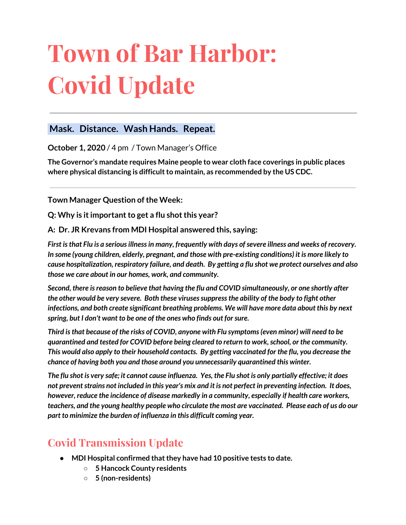# **Town of Bar Harbor: Covid Update**

#### **Mask. Distance. Wash Hands. Repeat.**

**October 1, 2020** / 4 pm / Town Manager's Office

**The Governor's mandate requires Maine people to wear cloth face coverings in public places where physical distancing is difficultto maintain, as recommended by the US CDC.**

**Town Manager Question of the Week:** 

**Q:** Why is it important to get a flu shot this year?

**A: Dr. JR Krevans from MDI Hospital answered this, saying:**

*First isthat Flu is a seriousillnessin many, frequently with days ofsevere illness and weeks of recovery. In some (young children, elderly, pregnant, and those with pre-existing conditions) it is more likely to cause hospitalization, respiratory failure, and death. By getting a flu shot we protect ourselves and also those we care about in our homes, work, and community.*

*Second, there isreason to believe that having the flu and COVID simultaneously, or one shortly after the other would be very severe. Both these virusessuppressthe ability of the body to fight other infections, and both create significant breathing problems. We will have more data about this by next spring, but I don't want to be one of the ones who finds out forsure.*

*Third isthat because of the risks of COVID, anyone with Flu symptoms(even minor) will need to be quarantined and tested for COVID before being cleared to return to work,school, or the community. This would also apply to their household contacts. By getting vaccinated for the flu, you decrease the chance of having both you and those around you unnecessarily quarantined this winter.*

The flu shot is very safe; it cannot cause influenza. Yes, the Flu shot is only partially effective; it does not prevent strains not included in this year's mix and it is not perfect in preventing infection. It does, *however, reduce the incidence of disease markedly in a community, especially if health care workers,* teachers, and the young healthy people who circulate the most are vaccinated. Please each of us do our *part to minimize the burden of influenza in this difficult coming year.*

# **Covid Transmission Update**

- **• MDI Hospital confirmed that they have had 10 positive tests to date.** 
	- **○ 5 Hancock County residents**
	- **○ 5 (non-residents)**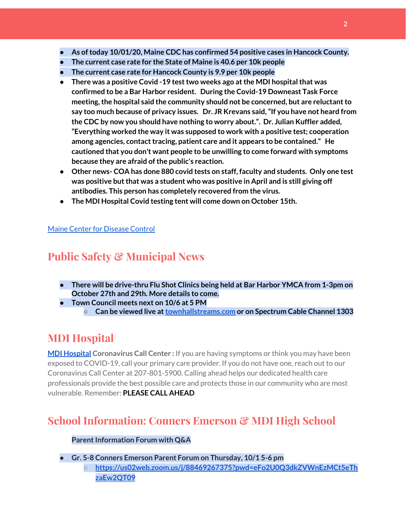- **● As oftoday 10/01/20, Maine CDC has confirmed 54 positive cases in Hancock County.**
- **● The current case rate for the State of Maine is 40.6 per 10k people**
- **● The current case rate for Hancock County is 9.9 per 10k people**
- **● There was a positive Covid -19 testtwo weeks ago atthe MDI hospitalthat was confirmed to be a Bar Harbor resident. During the Covid-19 Downeast Task Force meeting,the hospital said the community should not be concerned, but are reluctantto say too much because of privacy issues. Dr. JR Krevans said,"If you have not heard from the CDC by now you should have nothing to worry about.". Dr. Julian Kuffler added, "Everything worked the way it was supposed to work with a positive test; cooperation among agencies, contacttracing, patient care and it appears to be contained." He cautioned that you don't want people to be unwilling to come forward with symptoms because they are afraid ofthe public's reaction.**
- **● Other news- COA has done 880 covid tests on staff, faculty and students. Only one test was positive butthat was a student who was positive in April and is still giving off antibodies. This person has completely recovered from the virus.**
- **● The MDI Hospital Covid testing tent will come down on October 15th.**

#### Maine Center for [Disease](https://www.maine.gov/dhhs/mecdc/infectious-disease/epi/airborne/coronavirus.shtml) Control

# **Public Safety & Municipal News**

- **● There will be drive-thru Flu Shot Clinics being held at Bar Harbor YMCA from 1-3pm on October 27th and 29th. More details to come.**
- **● Town Council meets next on 10/6 at 5 PM**
	- **○ Can be viewed live at[townhallstreams.com](https://townhallstreams.com/) or on Spectrum Cable Channel 1303**

# **MDI Hospital**

**MDI [Hospital](https://www.mdihospital.org/) Coronavirus Call Center :** If you are having symptoms or think you may have been exposed to COVID-19, call your primary care provider. If you do not have one, reach out to our Coronavirus Call Center at 207-801-5900. Calling ahead helps our dedicated health care professionals provide the best possible care and protects those in our community who are most vulnerable. Remember: **PLEASE CALL AHEAD**

# **School Information: Conners Emerson & MDI High School**

#### **Parent Information Forum with Q&A**

**● Gr. 5-8 Conners Emerson Parent Forum on Thursday, 10/1 5-6 pm**

**○ [https://us02web.zoom.us/j/88469267375?pwd=eFo2U0Q3dkZVWnEzMCt5eTh](http://track.spe.schoolmessenger.com/f/a/7Pt8OhsXMrrNWxSENtkYjg~~/AAAAAQA~/RgRhU3acP0RKaHR0cHM6Ly91czAyd2ViLnpvb20udXMvai84ODQ2OTI2NzM3NT9wd2Q9ZUZvMlUwUTNka1pWV25Fek1DdDVlVGh6YUV3MlFUMDlXB3NjaG9vbG1CCgBHHENyX7oBniVSGGJhcmhhcmJvcmpld2VsQGdtYWlsLmNvbVgEAAAAAQ~~) [zaEw2QT09](http://track.spe.schoolmessenger.com/f/a/7Pt8OhsXMrrNWxSENtkYjg~~/AAAAAQA~/RgRhU3acP0RKaHR0cHM6Ly91czAyd2ViLnpvb20udXMvai84ODQ2OTI2NzM3NT9wd2Q9ZUZvMlUwUTNka1pWV25Fek1DdDVlVGh6YUV3MlFUMDlXB3NjaG9vbG1CCgBHHENyX7oBniVSGGJhcmhhcmJvcmpld2VsQGdtYWlsLmNvbVgEAAAAAQ~~)**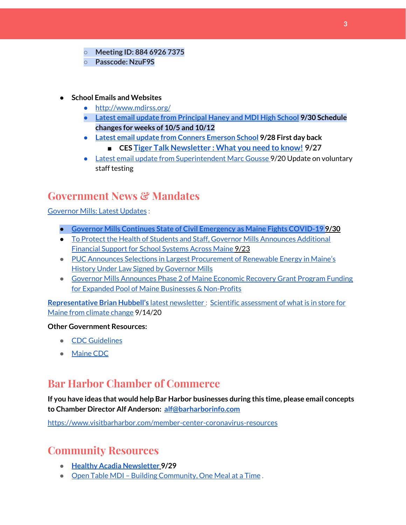- **○ Meeting ID: 884 6926 7375**
- **○ Passcode: NzuF9S**
- **● School Emails and Websites**
	- <http://www.mdirss.org/>
	- **● Latest email update from [Principal](https://docs.google.com/document/d/1OKDsYNtOgV0FI9xAcXwQvenOKLV0S2vBg1o5jtu5CrE/edit?usp=sharing) Haney and MDI High School 9/30 Schedule changes for weeks of 10/5 and 10/12**
	- **● Latest email update from Conners [Emerson](https://docs.google.com/document/d/1v3pgkG6Q-9S3gisuUIj4etPVDwgBKl4P00JBkvZr-kk/edit?usp=sharing) School 9/28 First day back**
		- **■ CES Tiger Talk [Newsletter](https://sites.google.com/mdirss.org/conners-emerson-school/newsletter) : What you need to know! 9/27**
	- Latest email update from [Superintendent](https://docs.google.com/document/d/1fzeCbc8gpTSKmUaDoQH1Avx5PVl-h0reFphXrT1eUNA/edit?usp=sharing) Marc Gousse 9/20 Update on voluntary staff testing

## **Government News & Mandates**

[Governor](https://www.maine.gov/governor/mills/) Mills: Latest Updates :

- **● Governor Mills Continues State of Civil [Emergency](https://www.maine.gov/governor/mills/news/governor-mills-continues-state-civil-emergency-maine-fights-covid-19-2020-09-30) as Maine Fights COVID-19 9/30**
- To Protect the Health of Students and Staff, Governor Mills [Announces](https://www.maine.gov/governor/mills/news/protect-health-students-and-staff-governor-mills-announces-additional-financial-support-school) Additional [Financial](https://www.maine.gov/governor/mills/news/protect-health-students-and-staff-governor-mills-announces-additional-financial-support-school) Support for School Systems Across Maine 9/23
- PUC Announces Selections in Largest [Procurement](https://www.maine.gov/governor/mills/news/puc-announces-selections-largest-procurement-renewable-energy-maines-history-under-law-signed) of Renewable Energy in Maine's History Under Law Signed by [Governor](https://www.maine.gov/governor/mills/news/puc-announces-selections-largest-procurement-renewable-energy-maines-history-under-law-signed) Mills
- Governor Mills [Announces](https://www.maine.gov/governor/mills/news/governor-mills-announces-phase-2-maine-economic-recovery-grant-program-funding-expanded-pool) Phase 2 of Maine Economic Recovery Grant Program Funding for Expanded Pool of Maine Businesses & [Non-Profits](https://www.maine.gov/governor/mills/news/governor-mills-announces-phase-2-maine-economic-recovery-grant-program-funding-expanded-pool)

**[Representative](http://www.rephubbell.com/) Brian Hubbell's** latest [newsletter](http://www.rephubbell.com/) : Scientific [assessment](http://www.rephubbell.com/2020/09/14/scientific-assessment-of-what-is-in-store-for-maine-from-climate-change/) of what is in store for Maine from [climate](http://www.rephubbell.com/2020/09/14/scientific-assessment-of-what-is-in-store-for-maine-from-climate-change/) change 9/14/20

#### **Other Government Resources:**

- CDC [Guidelines](https://www.cdc.gov/coronavirus/2019-nCoV/index.html)
- [Maine](https://www.maine.gov/dhhs/mecdc/infectious-disease/epi/airborne/coronavirus.shtml#news) CDC

### **Bar Harbor Chamber of Commerce**

**If you have ideas that would help Bar Harbor businesses during this time, please email concepts to Chamber Director Alf Anderson: [alf@barharborinfo.com](mailto:alf@barharborinfo.com)**

<https://www.visitbarharbor.com/member-center-coronavirus-resources>

### **Community Resources**

- **● Healthy Acadia [Newsletter](https://mailchi.mp/healthyacadia.org/september_29_2020?e=e6ccd2569f) [9](https://mailchi.mp/healthyacadia.org/september_29_2020?e=e6ccd2569f)/29**
- Open Table MDI Building [Community,](https://www.opentablemdi.org/) One Meal at a Time.